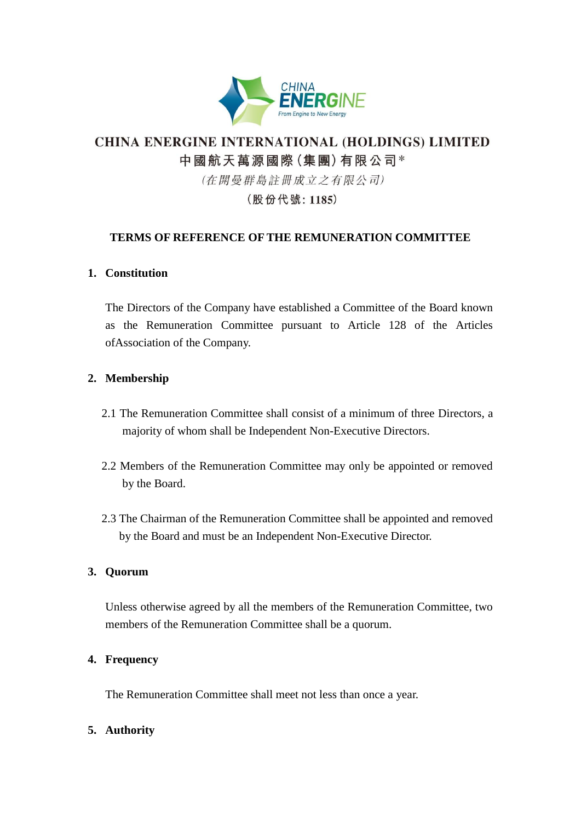

# **CHINA ENERGINE INTERNATIONAL (HOLDINGS) LIMITED** 中國航天萬源國際(集團)有限公司\*

(在開曼群島註冊成立之有限公司)

(股份代號: 1185)

## **TERMS OF REFERENCE OF THE REMUNERATION COMMITTEE**

### **1. Constitution**

The Directors of the Company have established a Committee of the Board known as the Remuneration Committee pursuant to Article 128 of the Articles ofAssociation of the Company.

### **2. Membership**

- 2.1 The Remuneration Committee shall consist of a minimum of three Directors, a majority of whom shall be Independent Non-Executive Directors.
- 2.2 Members of the Remuneration Committee may only be appointed or removed by the Board.
- 2.3 The Chairman of the Remuneration Committee shall be appointed and removed by the Board and must be an Independent Non-Executive Director.

### **3. Quorum**

Unless otherwise agreed by all the members of the Remuneration Committee, two members of the Remuneration Committee shall be a quorum.

### **4. Frequency**

The Remuneration Committee shall meet not less than once a year.

### **5. Authority**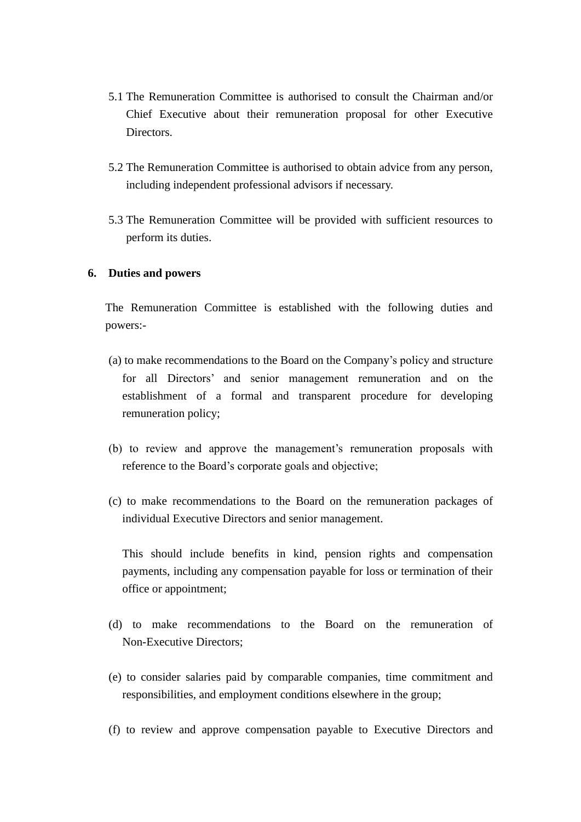- 5.1 The Remuneration Committee is authorised to consult the Chairman and/or Chief Executive about their remuneration proposal for other Executive Directors.
- 5.2 The Remuneration Committee is authorised to obtain advice from any person, including independent professional advisors if necessary.
- 5.3 The Remuneration Committee will be provided with sufficient resources to perform its duties.

#### **6. Duties and powers**

The Remuneration Committee is established with the following duties and powers:-

- (a) to make recommendations to the Board on the Company's policy and structure for all Directors' and senior management remuneration and on the establishment of a formal and transparent procedure for developing remuneration policy;
- (b) to review and approve the management's remuneration proposals with reference to the Board's corporate goals and objective;
- (c) to make recommendations to the Board on the remuneration packages of individual Executive Directors and senior management.

This should include benefits in kind, pension rights and compensation payments, including any compensation payable for loss or termination of their office or appointment;

- (d) to make recommendations to the Board on the remuneration of Non-Executive Directors;
- (e) to consider salaries paid by comparable companies, time commitment and responsibilities, and employment conditions elsewhere in the group;
- (f) to review and approve compensation payable to Executive Directors and